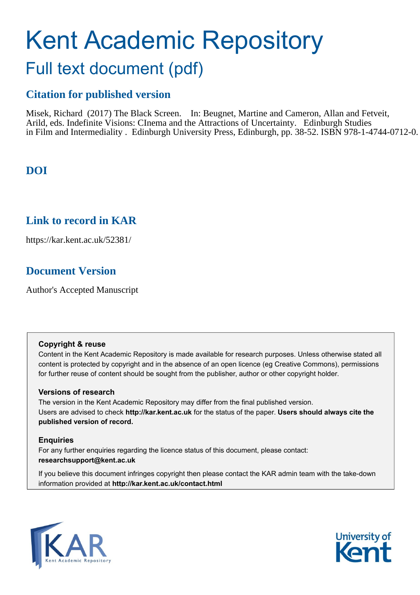# Kent Academic Repository Full text document (pdf)

# **Citation for published version**

Misek, Richard (2017) The Black Screen. In: Beugnet, Martine and Cameron, Allan and Fetveit, Arild, eds. Indefinite Visions: CInema and the Attractions of Uncertainty. Edinburgh Studies in Film and Intermediality . Edinburgh University Press, Edinburgh, pp. 38-52. ISBN 978-1-4744-0712-0.

# **DOI**

# **Link to record in KAR**

https://kar.kent.ac.uk/52381/

# **Document Version**

Author's Accepted Manuscript

#### **Copyright & reuse**

Content in the Kent Academic Repository is made available for research purposes. Unless otherwise stated all content is protected by copyright and in the absence of an open licence (eg Creative Commons), permissions for further reuse of content should be sought from the publisher, author or other copyright holder.

#### **Versions of research**

The version in the Kent Academic Repository may differ from the final published version. Users are advised to check **http://kar.kent.ac.uk** for the status of the paper. **Users should always cite the published version of record.**

#### **Enquiries**

For any further enquiries regarding the licence status of this document, please contact: **researchsupport@kent.ac.uk**

If you believe this document infringes copyright then please contact the KAR admin team with the take-down information provided at **http://kar.kent.ac.uk/contact.html**



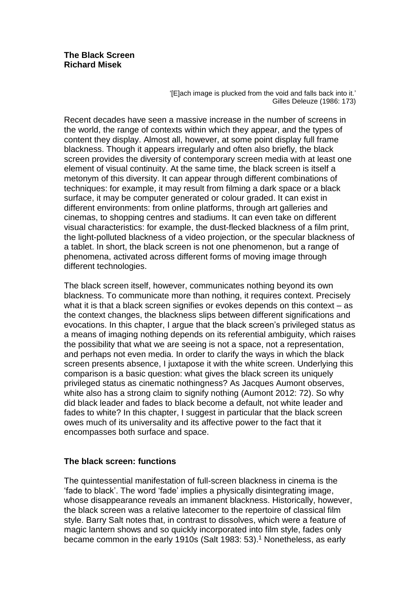'[E]ach image is plucked from the void and falls back into it.' Gilles Deleuze (1986: 173)

Recent decades have seen a massive increase in the number of screens in the world, the range of contexts within which they appear, and the types of content they display. Almost all, however, at some point display full frame blackness. Though it appears irregularly and often also briefly, the black screen provides the diversity of contemporary screen media with at least one element of visual continuity. At the same time, the black screen is itself a metonym of this diversity. It can appear through different combinations of techniques: for example, it may result from filming a dark space or a black surface, it may be computer generated or colour graded. It can exist in different environments: from online platforms, through art galleries and cinemas, to shopping centres and stadiums. It can even take on different visual characteristics: for example, the dust-flecked blackness of a film print, the light-polluted blackness of a video projection, or the specular blackness of a tablet. In short, the black screen is not one phenomenon, but a range of phenomena, activated across different forms of moving image through different technologies.

The black screen itself, however, communicates nothing beyond its own blackness. To communicate more than nothing, it requires context. Precisely what it is that a black screen signifies or evokes depends on this context – as the context changes, the blackness slips between different significations and evocations. In this chapter, I argue that the black screen's privileged status as a means of imaging nothing depends on its referential ambiguity, which raises the possibility that what we are seeing is not a space, not a representation, and perhaps not even media. In order to clarify the ways in which the black screen presents absence, I juxtapose it with the white screen. Underlying this comparison is a basic question: what gives the black screen its uniquely privileged status as cinematic nothingness? As Jacques Aumont observes, white also has a strong claim to signify nothing (Aumont 2012: 72). So why did black leader and fades to black become a default, not white leader and fades to white? In this chapter, I suggest in particular that the black screen owes much of its universality and its affective power to the fact that it encompasses both surface and space.

## **The black screen: functions**

The quintessential manifestation of full-screen blackness in cinema is the 'fade to black'. The word 'fade' implies a physically disintegrating image, whose disappearance reveals an immanent blackness. Historically, however, the black screen was a relative latecomer to the repertoire of classical film style. Barry Salt notes that, in contrast to dissolves, which were a feature of magic lantern shows and so quickly incorporated into film style, fades only became common in the early 1910s (Salt 1983: 53). <sup>1</sup> Nonetheless, as early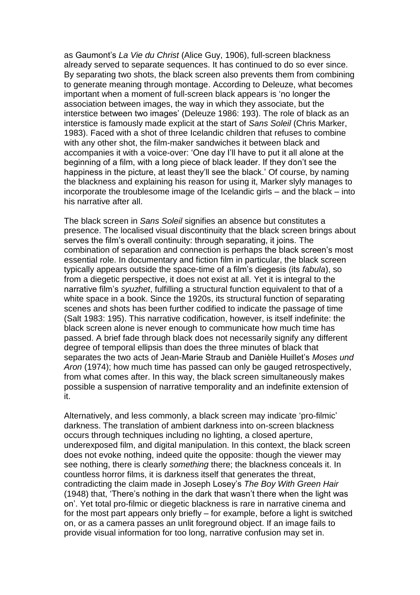as Gaumont's *La Vie du Christ* (Alice Guy, 1906), full-screen blackness already served to separate sequences. It has continued to do so ever since. By separating two shots, the black screen also prevents them from combining to generate meaning through montage. According to Deleuze, what becomes important when a moment of full-screen black appears is 'no longer the association between images, the way in which they associate, but the interstice between two images' (Deleuze 1986: 193). The role of black as an interstice is famously made explicit at the start of *Sans Soleil* (Chris Marker, 1983). Faced with a shot of three Icelandic children that refuses to combine with any other shot, the film-maker sandwiches it between black and accompanies it with a voice-over: 'One day I'll have to put it all alone at the beginning of a film, with a long piece of black leader. If they don't see the happiness in the picture, at least they'll see the black.' Of course, by naming the blackness and explaining his reason for using it, Marker slyly manages to incorporate the troublesome image of the Icelandic girls – and the black – into his narrative after all.

The black screen in *Sans Soleil* signifies an absence but constitutes a presence. The localised visual discontinuity that the black screen brings about serves the film's overall continuity: through separating, it joins. The combination of separation and connection is perhaps the black screen's most essential role. In documentary and fiction film in particular, the black screen typically appears outside the space-time of a film's diegesis (its *fabula*), so from a diegetic perspective, it does not exist at all. Yet it is integral to the narrative film's *syuzhet*, fulfilling a structural function equivalent to that of a white space in a book. Since the 1920s, its structural function of separating scenes and shots has been further codified to indicate the passage of time (Salt 1983: 195). This narrative codification, however, is itself indefinite: the black screen alone is never enough to communicate how much time has passed. A brief fade through black does not necessarily signify any different degree of temporal ellipsis than does the three minutes of black that separates the two acts of Jean-Marie Straub and Danièle Huillet's *Moses und Aron* (1974); how much time has passed can only be gauged retrospectively, from what comes after. In this way, the black screen simultaneously makes possible a suspension of narrative temporality and an indefinite extension of it.

Alternatively, and less commonly, a black screen may indicate 'pro-filmic' darkness. The translation of ambient darkness into on-screen blackness occurs through techniques including no lighting, a closed aperture, underexposed film, and digital manipulation. In this context, the black screen does not evoke nothing, indeed quite the opposite: though the viewer may see nothing, there is clearly *something* there; the blackness conceals it. In countless horror films, it is darkness itself that generates the threat, contradicting the claim made in Joseph Losey's *The Boy With Green Hair*  (1948) that, 'There's nothing in the dark that wasn't there when the light was on'. Yet total pro-filmic or diegetic blackness is rare in narrative cinema and for the most part appears only briefly – for example, before a light is switched on, or as a camera passes an unlit foreground object. If an image fails to provide visual information for too long, narrative confusion may set in.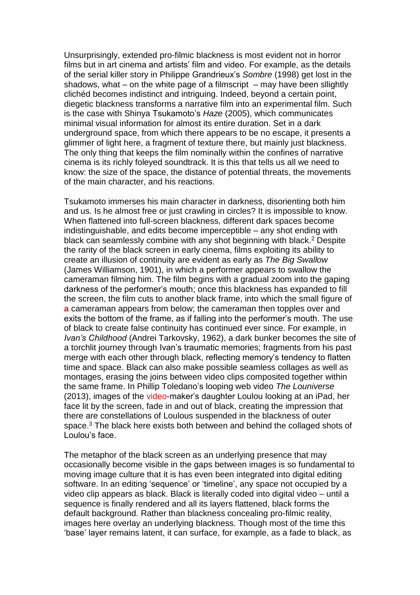Unsurprisingly, extended pro-filmic blackness is most evident not in horror films but in art cinema and artists' film and video. For example, as the details of the serial killer story in Philippe Grandrieux's *Sombre* (1998) get lost in the shadows, what – on the white page of a filmscript  $-$  may have been sllightly clichéd becomes indistinct and intriguing. Indeed, beyond a certain point, diegetic blackness transforms a narrative film into an experimental film. Such is the case with Shinya Tsukamoto's *Haze* (2005), which communicates minimal visual information for almost its entire duration. Set in a dark underground space, from which there appears to be no escape, it presents a glimmer of light here, a fragment of texture there, but mainly just blackness. The only thing that keeps the film nominally within the confines of narrative cinema is its richly foleyed soundtrack. It is this that tells us all we need to know: the size of the space, the distance of potential threats, the movements of the main character, and his reactions.

Tsukamoto immerses his main character in darkness, disorienting both him and us. Is he almost free or just crawling in circles? It is impossible to know. When flattened into full-screen blackness, different dark spaces become indistinguishable, and edits become imperceptible – any shot ending with black can seamlessly combine with any shot beginning with black. <sup>2</sup> Despite the rarity of the black screen in early cinema, films exploiting its ability to create an illusion of continuity are evident as early as *The Big Swallow*  (James Williamson, 1901), in which a performer appears to swallow the cameraman filming him. The film begins with a gradual zoom into the gaping darkness of the performer's mouth; once this blackness has expanded to fill the screen, the film cuts to another black frame, into which the small figure of **a** cameraman appears from below; the cameraman then topples over and exits the bottom of the frame, as if falling into the performer's mouth. The use of black to create false continuity has continued ever since. For example, in *Ivan's Childhood* (Andrei Tarkovsky, 1962), a dark bunker becomes the site of a torchlit journey through Ivan's traumatic memories; fragments from his past merge with each other through black, reflecting memory's tendency to flatten time and space. Black can also make possible seamless collages as well as montages, erasing the joins between video clips composited together within the same frame. In Phillip Toledano's looping web video *The Louniverse* (2013), images of the video-maker's daughter Loulou looking at an iPad, her face lit by the screen, fade in and out of black, creating the impression that there are constellations of Loulous suspended in the blackness of outer space.<sup>3</sup> The black here exists both between and behind the collaged shots of Loulou's face.

The metaphor of the black screen as an underlying presence that may occasionally become visible in the gaps between images is so fundamental to moving image culture that it is has even been integrated into digital editing software. In an editing 'sequence' or 'timeline', any space not occupied by a video clip appears as black. Black is literally coded into digital video – until a sequence is finally rendered and all its layers flattened, black forms the default background. Rather than blackness concealing pro-filmic reality, images here overlay an underlying blackness. Though most of the time this 'base' layer remains latent, it can surface, for example, as a fade to black, as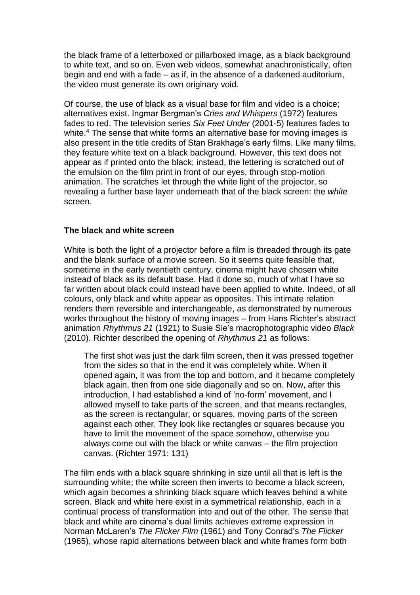the black frame of a letterboxed or pillarboxed image, as a black background to white text, and so on. Even web videos, somewhat anachronistically, often begin and end with a fade – as if, in the absence of a darkened auditorium, the video must generate its own originary void.

Of course, the use of black as a visual base for film and video is a choice; alternatives exist. Ingmar Bergman's *Cries and Whispers* (1972) features fades to red. The television series *Six Feet Under* (2001-5) features fades to white.<sup>4</sup> The sense that white forms an alternative base for moving images is also present in the title credits of Stan Brakhage's early films. Like many films, they feature white text on a black background. However, this text does not appear as if printed onto the black; instead, the lettering is scratched out of the emulsion on the film print in front of our eyes, through stop-motion animation. The scratches let through the white light of the projector, so revealing a further base layer underneath that of the black screen: the *white* screen.

## **The black and white screen**

White is both the light of a projector before a film is threaded through its gate and the blank surface of a movie screen. So it seems quite feasible that, sometime in the early twentieth century, cinema might have chosen white instead of black as its default base. Had it done so, much of what I have so far written about black could instead have been applied to white. Indeed, of all colours, only black and white appear as opposites. This intimate relation renders them reversible and interchangeable, as demonstrated by numerous works throughout the history of moving images – from Hans Richter's abstract animation *Rhythmus 21* (1921) to Susie Sie's macrophotographic video *Black*  (2010). Richter described the opening of *Rhythmus 21* as follows:

The first shot was just the dark film screen, then it was pressed together from the sides so that in the end it was completely white. When it opened again, it was from the top and bottom, and it became completely black again, then from one side diagonally and so on. Now, after this introduction, I had established a kind of 'no-form' movement, and I allowed myself to take parts of the screen, and that means rectangles, as the screen is rectangular, or squares, moving parts of the screen against each other. They look like rectangles or squares because you have to limit the movement of the space somehow, otherwise you always come out with the black or white canvas – the film projection canvas. (Richter 1971: 131)

The film ends with a black square shrinking in size until all that is left is the surrounding white; the white screen then inverts to become a black screen, which again becomes a shrinking black square which leaves behind a white screen. Black and white here exist in a symmetrical relationship, each in a continual process of transformation into and out of the other. The sense that black and white are cinema's dual limits achieves extreme expression in Norman McLaren's *The Flicker Film* (1961) and Tony Conrad's *The Flicker*  (1965), whose rapid alternations between black and white frames form both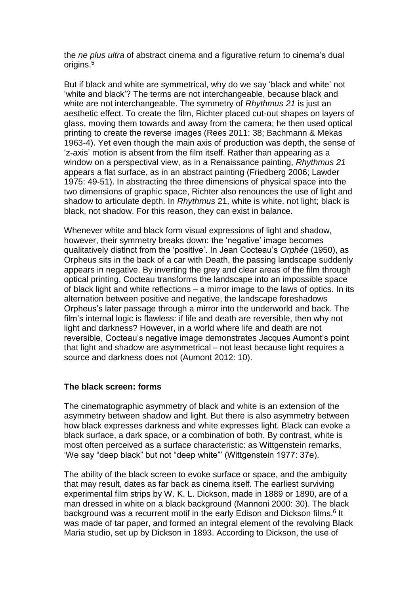the *ne plus ultra* of abstract cinema and a figurative return to cinema's dual origins.<sup>5</sup>

But if black and white are symmetrical, why do we say 'black and white' not 'white and black'? The terms are not interchangeable, because black and white are not interchangeable. The symmetry of *Rhythmus 21* is just an aesthetic effect. To create the film, Richter placed cut-out shapes on layers of glass, moving them towards and away from the camera; he then used optical printing to create the reverse images (Rees 2011: 38; Bachmann & Mekas 1963-4). Yet even though the main axis of production was depth, the sense of 'z-axis' motion is absent from the film itself. Rather than appearing as a window on a perspectival view, as in a Renaissance painting, *Rhythmus 21*  appears a flat surface, as in an abstract painting (Friedberg 2006; Lawder 1975: 49-51). In abstracting the three dimensions of physical space into the two dimensions of graphic space, Richter also renounces the use of light and shadow to articulate depth. In *Rhythmus* 21, white is white, not light; black is black, not shadow. For this reason, they can exist in balance.

Whenever white and black form visual expressions of light and shadow, however, their symmetry breaks down: the 'negative' image becomes qualitatively distinct from the 'positive'. In Jean Cocteau's *Orphée* (1950), as Orpheus sits in the back of a car with Death, the passing landscape suddenly appears in negative. By inverting the grey and clear areas of the film through optical printing, Cocteau transforms the landscape into an impossible space of black light and white reflections – a mirror image to the laws of optics. In its alternation between positive and negative, the landscape foreshadows Orpheus's later passage through a mirror into the underworld and back. The film's internal logic is flawless: if life and death are reversible, then why not light and darkness? However, in a world where life and death are not reversible, Cocteau's negative image demonstrates Jacques Aumont's point that light and shadow are asymmetrical – not least because light requires a source and darkness does not (Aumont 2012: 10).

## **The black screen: forms**

The cinematographic asymmetry of black and white is an extension of the asymmetry between shadow and light. But there is also asymmetry between how black expresses darkness and white expresses light. Black can evoke a black surface, a dark space, or a combination of both. By contrast, white is most often perceived as a surface characteristic: as Wittgenstein remarks, 'We say "deep black" but not "deep white"' (Wittgenstein 1977: 37e).

The ability of the black screen to evoke surface or space, and the ambiguity that may result, dates as far back as cinema itself. The earliest surviving experimental film strips by W. K. L. Dickson, made in 1889 or 1890, are of a man dressed in white on a black background (Mannoni 2000: 30). The black background was a recurrent motif in the early Edison and Dickson films.<sup>6</sup> It was made of tar paper, and formed an integral element of the revolving Black Maria studio, set up by Dickson in 1893. According to Dickson, the use of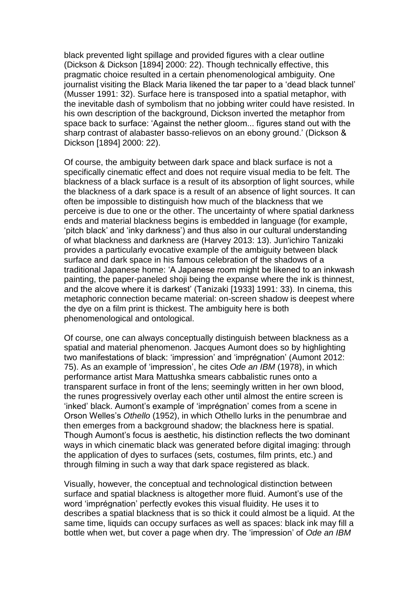black prevented light spillage and provided figures with a clear outline (Dickson & Dickson [1894] 2000: 22). Though technically effective, this pragmatic choice resulted in a certain phenomenological ambiguity. One journalist visiting the Black Maria likened the tar paper to a 'dead black tunnel' (Musser 1991: 32). Surface here is transposed into a spatial metaphor, with the inevitable dash of symbolism that no jobbing writer could have resisted. In his own description of the background, Dickson inverted the metaphor from space back to surface: 'Against the nether gloom... figures stand out with the sharp contrast of alabaster basso-relievos on an ebony ground.' (Dickson & Dickson [1894] 2000: 22).

Of course, the ambiguity between dark space and black surface is not a specifically cinematic effect and does not require visual media to be felt. The blackness of a black surface is a result of its absorption of light sources, while the blackness of a dark space is a result of an absence of light sources. It can often be impossible to distinguish how much of the blackness that we perceive is due to one or the other. The uncertainty of where spatial darkness ends and material blackness begins is embedded in language (for example, 'pitch black' and 'inky darkness') and thus also in our cultural understanding of what blackness and darkness are (Harvey 2013: 13). Jun'ichiro Tanizaki provides a particularly evocative example of the ambiguity between black surface and dark space in his famous celebration of the shadows of a traditional Japanese home: 'A Japanese room might be likened to an inkwash painting, the paper-paneled shoji being the expanse where the ink is thinnest, and the alcove where it is darkest' (Tanizaki [1933] 1991: 33). In cinema, this metaphoric connection became material: on-screen shadow is deepest where the dye on a film print is thickest. The ambiguity here is both phenomenological and ontological.

Of course, one can always conceptually distinguish between blackness as a spatial and material phenomenon. Jacques Aumont does so by highlighting two manifestations of black: 'impression' and 'imprégnation' (Aumont 2012: 75). As an example of 'impression', he cites *Ode an IBM* (1978), in which performance artist Mara Mattushka smears cabbalistic runes onto a transparent surface in front of the lens; seemingly written in her own blood, the runes progressively overlay each other until almost the entire screen is 'inked' black. Aumont's example of 'imprégnation' comes from a scene in Orson Welles's *Othello* (1952), in which Othello lurks in the penumbrae and then emerges from a background shadow; the blackness here is spatial. Though Aumont's focus is aesthetic, his distinction reflects the two dominant ways in which cinematic black was generated before digital imaging: through the application of dyes to surfaces (sets, costumes, film prints, etc.) and through filming in such a way that dark space registered as black.

Visually, however, the conceptual and technological distinction between surface and spatial blackness is altogether more fluid. Aumont's use of the word 'imprégnation' perfectly evokes this visual fluidity. He uses it to describes a spatial blackness that is so thick it could almost be a liquid. At the same time, liquids can occupy surfaces as well as spaces: black ink may fill a bottle when wet, but cover a page when dry. The 'impression' of *Ode an IBM*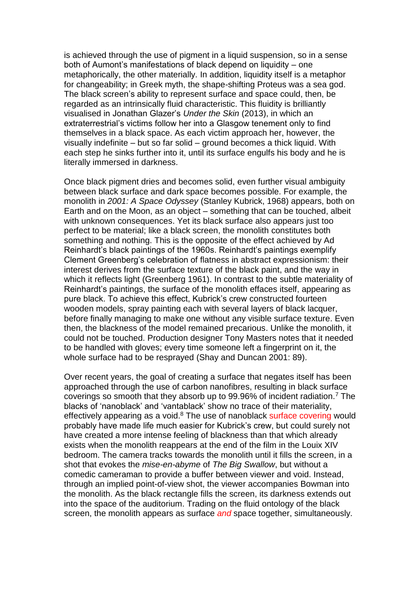is achieved through the use of pigment in a liquid suspension, so in a sense both of Aumont's manifestations of black depend on liquidity – one metaphorically, the other materially. In addition, liquidity itself is a metaphor for changeability; in Greek myth, the shape-shifting Proteus was a sea god. The black screen's ability to represent surface and space could, then, be regarded as an intrinsically fluid characteristic. This fluidity is brilliantly visualised in Jonathan Glazer's *Under the Skin* (2013), in which an extraterrestrial's victims follow her into a Glasgow tenement only to find themselves in a black space. As each victim approach her, however, the visually indefinite – but so far solid – ground becomes a thick liquid. With each step he sinks further into it, until its surface engulfs his body and he is literally immersed in darkness.

Once black pigment dries and becomes solid, even further visual ambiguity between black surface and dark space becomes possible. For example, the monolith in *2001: A Space Odyssey* (Stanley Kubrick, 1968) appears, both on Earth and on the Moon, as an object – something that can be touched, albeit with unknown consequences. Yet its black surface also appears just too perfect to be material; like a black screen, the monolith constitutes both something and nothing. This is the opposite of the effect achieved by Ad Reinhardt's black paintings of the 1960s. Reinhardt's paintings exemplify Clement Greenberg's celebration of flatness in abstract expressionism: their interest derives from the surface texture of the black paint, and the way in which it reflects light (Greenberg 1961). In contrast to the subtle materiality of Reinhardt's paintings, the surface of the monolith effaces itself, appearing as pure black. To achieve this effect, Kubrick's crew constructed fourteen wooden models, spray painting each with several layers of black lacquer, before finally managing to make one without any visible surface texture. Even then, the blackness of the model remained precarious. Unlike the monolith, it could not be touched. Production designer Tony Masters notes that it needed to be handled with gloves; every time someone left a fingerprint on it, the whole surface had to be resprayed (Shay and Duncan 2001: 89).

Over recent years, the goal of creating a surface that negates itself has been approached through the use of carbon nanofibres, resulting in black surface coverings so smooth that they absorb up to 99.96% of incident radiation.<sup>7</sup> The blacks of 'nanoblack' and 'vantablack' show no trace of their materiality, effectively appearing as a void.<sup>8</sup> The use of nanoblack surface covering would probably have made life much easier for Kubrick's crew, but could surely not have created a more intense feeling of blackness than that which already exists when the monolith reappears at the end of the film in the Louix XIV bedroom. The camera tracks towards the monolith until it fills the screen, in a shot that evokes the *mise-en-abyme* of *The Big Swallow*, but without a comedic cameraman to provide a buffer between viewer and void. Instead, through an implied point-of-view shot, the viewer accompanies Bowman into the monolith. As the black rectangle fills the screen, its darkness extends out into the space of the auditorium. Trading on the fluid ontology of the black screen, the monolith appears as surface *and* space together, simultaneously.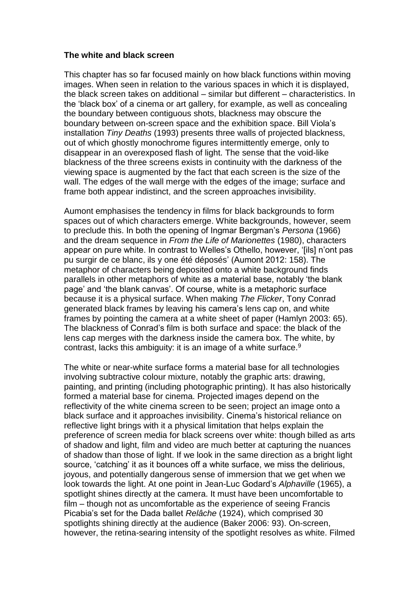#### **The white and black screen**

This chapter has so far focused mainly on how black functions within moving images. When seen in relation to the various spaces in which it is displayed, the black screen takes on additional – similar but different – characteristics. In the 'black box' of a cinema or art gallery, for example, as well as concealing the boundary between contiguous shots, blackness may obscure the boundary between on-screen space and the exhibition space. Bill Viola's installation *Tiny Deaths* (1993) presents three walls of projected blackness, out of which ghostly monochrome figures intermittently emerge, only to disappear in an overexposed flash of light. The sense that the void-like blackness of the three screens exists in continuity with the darkness of the viewing space is augmented by the fact that each screen is the size of the wall. The edges of the wall merge with the edges of the image; surface and frame both appear indistinct, and the screen approaches invisibility.

Aumont emphasises the tendency in films for black backgrounds to form spaces out of which characters emerge. White backgrounds, however, seem to preclude this. In both the opening of Ingmar Bergman's *Persona* (1966) and the dream sequence in *From the Life of Marionettes* (1980), characters appear on pure white. In contrast to Welles's Othello, however, '[ils] n'ont pas pu surgir de ce blanc, ils y one été déposés' (Aumont 2012: 158). The metaphor of characters being deposited onto a white background finds parallels in other metaphors of white as a material base, notably 'the blank page' and 'the blank canvas'. Of course, white is a metaphoric surface because it is a physical surface. When making *The Flicker*, Tony Conrad generated black frames by leaving his camera's lens cap on, and white frames by pointing the camera at a white sheet of paper (Hamlyn 2003: 65). The blackness of Conrad's film is both surface and space: the black of the lens cap merges with the darkness inside the camera box. The white, by contrast, lacks this ambiguity: it is an image of a white surface.<sup>9</sup>

The white or near-white surface forms a material base for all technologies involving subtractive colour mixture, notably the graphic arts: drawing, painting, and printing (including photographic printing). It has also historically formed a material base for cinema. Projected images depend on the reflectivity of the white cinema screen to be seen; project an image onto a black surface and it approaches invisibility. Cinema's historical reliance on reflective light brings with it a physical limitation that helps explain the preference of screen media for black screens over white: though billed as arts of shadow and light, film and video are much better at capturing the nuances of shadow than those of light. If we look in the same direction as a bright light source, 'catching' it as it bounces off a white surface, we miss the delirious, joyous, and potentially dangerous sense of immersion that we get when we look towards the light. At one point in Jean-Luc Godard's *Alphaville* (1965), a spotlight shines directly at the camera. It must have been uncomfortable to film – though not as uncomfortable as the experience of seeing Francis Picabia's set for the Dada ballet *Relâche* (1924), which comprised 30 spotlights shining directly at the audience (Baker 2006: 93). On-screen, however, the retina-searing intensity of the spotlight resolves as white. Filmed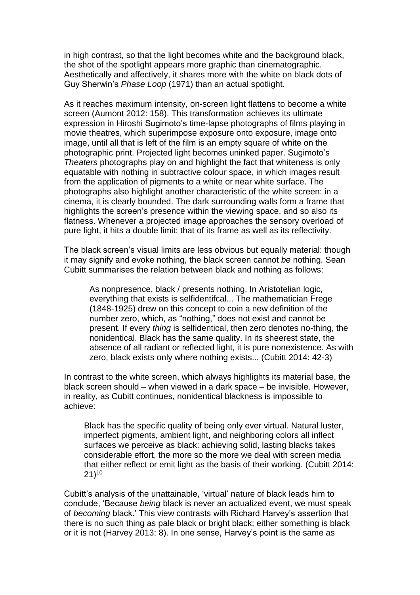in high contrast, so that the light becomes white and the background black, the shot of the spotlight appears more graphic than cinematographic. Aesthetically and affectively, it shares more with the white on black dots of Guy Sherwin's *Phase Loop* (1971) than an actual spotlight.

As it reaches maximum intensity, on-screen light flattens to become a white screen (Aumont 2012: 158). This transformation achieves its ultimate expression in Hiroshi Sugimoto's time-lapse photographs of films playing in movie theatres, which superimpose exposure onto exposure, image onto image, until all that is left of the film is an empty square of white on the photographic print. Projected light becomes uninked paper. Sugimoto's *Theaters* photographs play on and highlight the fact that whiteness is only equatable with nothing in subtractive colour space, in which images result from the application of pigments to a white or near white surface. The photographs also highlight another characteristic of the white screen: in a cinema, it is clearly bounded. The dark surrounding walls form a frame that highlights the screen's presence within the viewing space, and so also its flatness. Whenever a projected image approaches the sensory overload of pure light, it hits a double limit: that of its frame as well as its reflectivity.

The black screen's visual limits are less obvious but equally material: though it may signify and evoke nothing, the black screen cannot *be* nothing. Sean Cubitt summarises the relation between black and nothing as follows:

As nonpresence, black / presents nothing. In Aristotelian logic, everything that exists is selfidentifcal... The mathematician Frege (1848-1925) drew on this concept to coin a new definition of the number zero, which, as "nothing," does not exist and cannot be present. If every *thing* is selfidentical, then zero denotes no-thing, the nonidentical. Black has the same quality. In its sheerest state, the absence of all radiant or reflected light, it is pure nonexistence. As with zero, black exists only where nothing exists... (Cubitt 2014: 42-3)

In contrast to the white screen, which always highlights its material base, the black screen should – when viewed in a dark space – be invisible. However, in reality, as Cubitt continues, nonidentical blackness is impossible to achieve:

Black has the specific quality of being only ever virtual. Natural luster, imperfect pigments, ambient light, and neighboring colors all inflect surfaces we perceive as black: achieving solid, lasting blacks takes considerable effort, the more so the more we deal with screen media that either reflect or emit light as the basis of their working. (Cubitt 2014:  $21)$ <sup>10</sup>

Cubitt's analysis of the unattainable, 'virtual' nature of black leads him to conclude, 'Because *being* black is never an actualized event, we must speak of *becoming* black.' This view contrasts with Richard Harvey's assertion that there is no such thing as pale black or bright black; either something is black or it is not (Harvey 2013: 8). In one sense, Harvey's point is the same as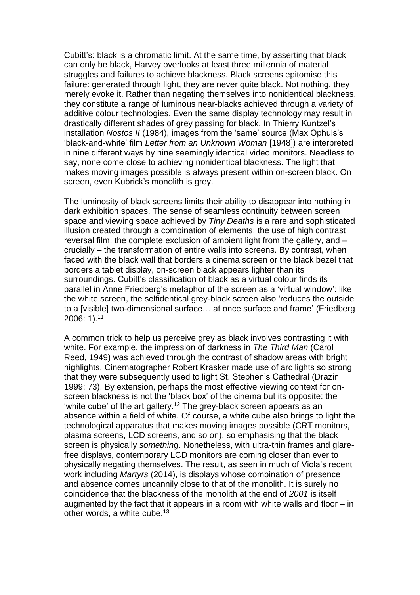Cubitt's: black is a chromatic limit. At the same time, by asserting that black can only be black, Harvey overlooks at least three millennia of material struggles and failures to achieve blackness. Black screens epitomise this failure: generated through light, they are never quite black. Not nothing, they merely evoke it. Rather than negating themselves into nonidentical blackness, they constitute a range of luminous near-blacks achieved through a variety of additive colour technologies. Even the same display technology may result in drastically different shades of grey passing for black. In Thierry Kuntzel's installation *Nostos II* (1984), images from the 'same' source (Max Ophuls's 'black-and-white' film *Letter from an Unknown Woman* [1948]) are interpreted in nine different ways by nine seemingly identical video monitors. Needless to say, none come close to achieving nonidentical blackness. The light that makes moving images possible is always present within on-screen black. On screen, even Kubrick's monolith is grey.

The luminosity of black screens limits their ability to disappear into nothing in dark exhibition spaces. The sense of seamless continuity between screen space and viewing space achieved by *Tiny Deaths* is a rare and sophisticated illusion created through a combination of elements: the use of high contrast reversal film, the complete exclusion of ambient light from the gallery, and – crucially – the transformation of entire walls into screens. By contrast, when faced with the black wall that borders a cinema screen or the black bezel that borders a tablet display, on-screen black appears lighter than its surroundings. Cubitt's classification of black as a virtual colour finds its parallel in Anne Friedberg's metaphor of the screen as a 'virtual window': like the white screen, the selfidentical grey-black screen also 'reduces the outside to a [visible] two-dimensional surface… at once surface and frame' (Friedberg 2006: 1). 11

A common trick to help us perceive grey as black involves contrasting it with white. For example, the impression of darkness in *The Third Man* (Carol Reed, 1949) was achieved through the contrast of shadow areas with bright highlights. Cinematographer Robert Krasker made use of arc lights so strong that they were subsequently used to light St. Stephen's Cathedral (Drazin 1999: 73). By extension, perhaps the most effective viewing context for onscreen blackness is not the 'black box' of the cinema but its opposite: the 'white cube' of the art gallery.<sup>12</sup> The grey-black screen appears as an absence within a field of white. Of course, a white cube also brings to light the technological apparatus that makes moving images possible (CRT monitors, plasma screens, LCD screens, and so on), so emphasising that the black screen is physically *something*. Nonetheless, with ultra-thin frames and glarefree displays, contemporary LCD monitors are coming closer than ever to physically negating themselves. The result, as seen in much of Viola's recent work including *Martyrs* (2014), is displays whose combination of presence and absence comes uncannily close to that of the monolith. It is surely no coincidence that the blackness of the monolith at the end of *2001* is itself augmented by the fact that it appears in a room with white walls and floor – in other words, a white cube.<sup>13</sup>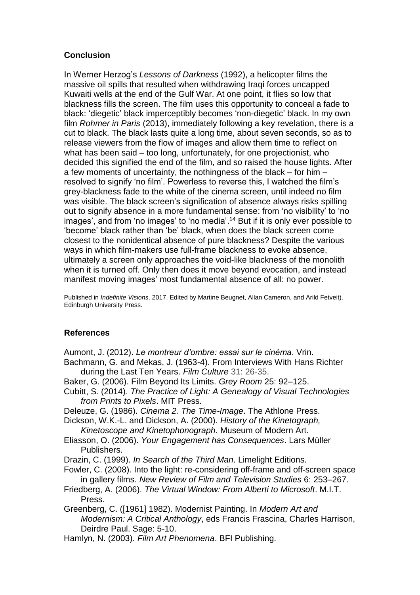## **Conclusion**

In Werner Herzog's *Lessons of Darkness* (1992), a helicopter films the massive oil spills that resulted when withdrawing Iraqi forces uncapped Kuwaiti wells at the end of the Gulf War. At one point, it flies so low that blackness fills the screen. The film uses this opportunity to conceal a fade to black: 'diegetic' black imperceptibly becomes 'non-diegetic' black. In my own film *Rohmer in Paris* (2013), immediately following a key revelation, there is a cut to black. The black lasts quite a long time, about seven seconds, so as to release viewers from the flow of images and allow them time to reflect on what has been said – too long, unfortunately, for one projectionist, who decided this signified the end of the film, and so raised the house lights. After a few moments of uncertainty, the nothingness of the black – for him – resolved to signify 'no film'. Powerless to reverse this, I watched the film's grey-blackness fade to the white of the cinema screen, until indeed no film was visible. The black screen's signification of absence always risks spilling out to signify absence in a more fundamental sense: from 'no visibility' to 'no images', and from 'no images' to 'no media'. <sup>14</sup> But if it is only ever possible to 'become' black rather than 'be' black, when does the black screen come closest to the nonidentical absence of pure blackness? Despite the various ways in which film-makers use full-frame blackness to evoke absence, ultimately a screen only approaches the void-like blackness of the monolith when it is turned off. Only then does it move beyond evocation, and instead manifest moving images' most fundamental absence of all: no power.

Published in *Indefinite Visions*. 2017. Edited by Martine Beugnet, Allan Cameron, and Arild Fetveit). Edinburgh University Press.

## **References**

Aumont, J. (2012). *Le montreur d'ombre: essai sur le cinéma*. Vrin.

- Bachmann, G. and Mekas, J. (1963-4). From Interviews With Hans Richter during the Last Ten Years. *Film Culture* 31: 26-35.
- Baker, G. (2006). Film Beyond Its Limits. *Grey Room* 25: 92–125.
- Cubitt, S. (2014). *The Practice of Light: A Genealogy of Visual Technologies from Prints to Pixels*. MIT Press.
- Deleuze, G. (1986). *Cinema 2. The Time-Image*. The Athlone Press.

Dickson, W.K.-L. and Dickson, A. (2000). *History of the Kinetograph, Kinetoscope and Kinetophonograph*. Museum of Modern Art.

Eliasson, O. (2006). *Your Engagement has Consequences*. Lars Müller Publishers.

Drazin, C. (1999). *In Search of the Third Man*. Limelight Editions.

- Fowler, C. (2008). Into the light: re‐considering off‐frame and off‐screen space in gallery films. *New Review of Film and Television Studies* 6: 253–267.
- Friedberg, A. (2006). *The Virtual Window: From Alberti to Microsoft*. M.I.T. Press.
- Greenberg, C. ([1961] 1982). Modernist Painting. In *Modern Art and Modernism: A Critical Anthology*, eds Francis Frascina, Charles Harrison, Deirdre Paul. Sage: 5-10.
- Hamlyn, N. (2003). *Film Art Phenomena*. BFI Publishing.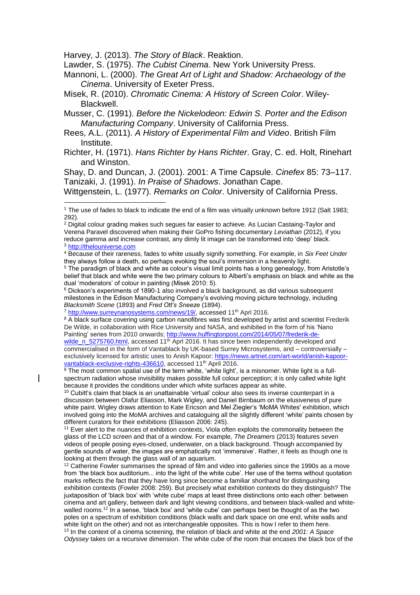Harvey, J. (2013). *The Story of Black*. Reaktion.

 $\overline{a}$ 

Lawder, S. (1975). *The Cubist Cinema*. New York University Press.

Mannoni, L. (2000). *The Great Art of Light and Shadow: Archaeology of the Cinema*. University of Exeter Press.

Misek, R. (2010). *Chromatic Cinema: A History of Screen Color*. Wiley-Blackwell.

Musser, C. (1991). *Before the Nickelodeon: Edwin S. Porter and the Edison Manufacturing Company*. University of California Press.

Rees, A.L. (2011). *A History of Experimental Film and Video*. British Film Institute.

Richter, H. (1971). *Hans Richter by Hans Richter*. Gray, C. ed. Holt, Rinehart and Winston.

Shay, D. and Duncan, J. (2001). 2001: A Time Capsule. *Cinefex* 85: 73–117. Tanizaki, J. (1991). *In Praise of Shadows*. Jonathan Cape.

Wittgenstein, L. (1977). *Remarks on Color*. University of California Press.

<sup>4</sup> Because of their rareness, fades to white usually signify something. For example, in *Six Feet Under*  they always follow a death, so perhaps evoking the soul's immersion in a heavenly light.

<sup>5</sup> The paradigm of black and white as colour's visual limit points has a long genealogy, from Aristotle's belief that black and white were the two primary colours to Alberti's emphasis on black and white as the dual 'moderators' of colour in painting (Misek 2010: 5).

 $6$  Dickson's experiments of 1890-1 also involved a black background, as did various subsequent milestones in the Edison Manufacturing Company's evolving moving picture technology, including *Blacksmith Scene* (1893) and *Fred Ott's Sneeze* (1894).

<sup>8</sup> A black surface covering using carbon nanofibres was first developed by artist and scientist Frederik De Wilde, in collaboration with Rice University and NASA, and exhibited in the form of his 'Nano Painting' series from 2010 onwards; [http://www.huffingtonpost.com/2014/05/07/frederik-de](http://www.huffingtonpost.com/2014/05/07/frederik-de-wilde_n_5275760.html)[wilde\\_n\\_5275760.html,](http://www.huffingtonpost.com/2014/05/07/frederik-de-wilde_n_5275760.html) accessed 11<sup>th</sup> Aprl 2016. It has since been independently developed and

commercialised in the form of Vantablack by UK-based Surrey Microsystems, and – controversially – exclusively licensed for artistic uses to Anish Kapoor; [https://news.artnet.com/art-world/anish-kapoor](https://news.artnet.com/art-world/anish-kapoor-vantablack-exclusive-rights-436610)[vantablack-exclusive-rights-436610,](https://news.artnet.com/art-world/anish-kapoor-vantablack-exclusive-rights-436610) accessed 11<sup>th</sup> April 2016.

 $^9$  The most common spatial use of the term white, 'white light', is a misnomer. White light is a fullspectrum radiation whose invisibility makes possible full colour perception; it is only called white light because it provides the conditions under which white surfaces appear as white.

 $10$  Cubitt's claim that black is an unattainable 'virtual' colour also sees its inverse counterpart in a discussion between Olafur Eliasson, Mark Wigley, and Daniel Birnbaum on the elusiveness of pure white paint. Wigley draws attention to Kate Ericson and Mel Ziegler's 'MoMA Whites' exhibition, which involved going into the MoMA archives and cataloguing all the slightly different 'white' paints chosen by different curators for their exhibitions (Eliasson 2006: 245).

<sup>11</sup> Ever alert to the nuances of exhibition contexts, Viola often exploits the commonality between the glass of the LCD screen and that of a window. For example, *The Dreamers* (2013) features seven videos of people posing eyes-closed, underwater, on a black background. Though accompanied by gentle sounds of water, the images are emphatically not 'immersive'. Rather, it feels as though one is looking at them through the glass wall of an aquarium.

 $12$  Catherine Fowler summarises the spread of film and video into galleries since the 1990s as a move from 'the black box auditorium... into the light of the white cube'. Her use of the terms without quotation marks reflects the fact that they have long since become a familiar shorthand for distinguishing exhibition contexts (Fowler 2008: 259). But precisely what exhibition contexts do they distinguish? The juxtaposition of 'black box' with 'white cube' maps at least three distinctions onto each other: between cinema and art gallery, between dark and light viewing conditions, and between black-walled and whitewalled rooms.<sup>12</sup> In a sense, 'black box' and 'white cube' can perhaps best be thought of as the two poles on a spectrum of exhibition conditions (black walls and dark space on one end, white walls and white light on the other) and not as interchangeable opposites. This is how I refer to them here. <sup>13</sup> In the context of a cinema screening, the relation of black and white at the end *2001: A Space Odyssey* takes on a recursive dimension. The white cube of the room that encases the black box of the

<sup>1</sup> The use of fades to black to indicate the end of a film was virtually unknown before 1912 (Salt 1983; 292).

<sup>2</sup> Digital colour grading makes such segues far easier to achieve. As Lucian Castaing-Taylor and Verena Paravel discovered when making their GoPro fishing documentary *Leviathan* (2012), if you reduce gamma and increase contrast, any dimly lit image can be transformed into 'deep' black. <sup>3</sup> [http://thelouniverse.com](http://thelouniverse.com/)

<sup>&</sup>lt;sup>7</sup> [http://www.surreynanosystems.com/news/19/,](http://www.surreynanosystems.com/news/19/) accessed 11<sup>th</sup> Aprl 2016.